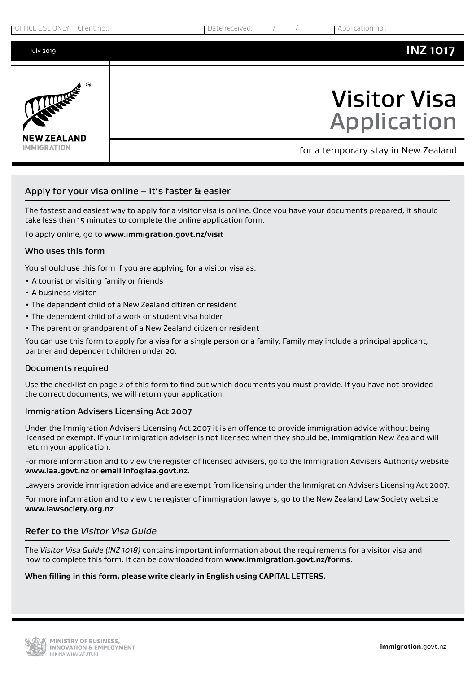

# Apply for your visa online  $-$  it's faster & easier

The fastest and easiest way to apply for a visitor visa is online. Once you have your documents prepared, it should take less than 15 minutes to complete the online application form.

#### To apply online, go to **www.immigration.govt.nz/visit**

#### Who uses this form

You should use this form if you are applying for a visitor visa as:

- A tourist or visiting family or friends
- A business visitor
- The dependent child of a New Zealand citizen or resident
- The dependent child of a work or student visa holder
- The parent or grandparent of a New Zealand citizen or resident

You can use this form to apply for a visa for a single person or a family. Family may include a principal applicant, partner and dependent children under 20.

#### Documents required

Use the checklist on page 2 of this form to find out which documents you must provide. If you have not provided the correct documents, we will return your application.

#### Immigration Advisers Licensing Act 2007

Under the Immigration Advisers Licensing Act 2007 it is an offence to provide immigration advice without being licensed or exempt. If your immigration adviser is not licensed when they should be, Immigration New Zealand will return your application.

For more information and to view the register of licensed advisers, go to the Immigration Advisers Authority website **www.iaa.govt.nz** or **email info@iaa.govt.nz**.

Lawyers provide immigration advice and are exempt from licensing under the Immigration Advisers Licensing Act 2007.

For more information and to view the register of immigration lawyers, go to the New Zealand Law Society website **www.lawsociety.org.nz**.

#### Refer to the *Visitor Visa Guide*

The *Visitor Visa Guide (INZ 1018)* contains important information about the requirements for a visitor visa and how to complete this form. It can be downloaded from **www.immigration.govt.nz/forms**.

#### **When filling in this form, please write clearly in English using CAPITAL LETTERS.**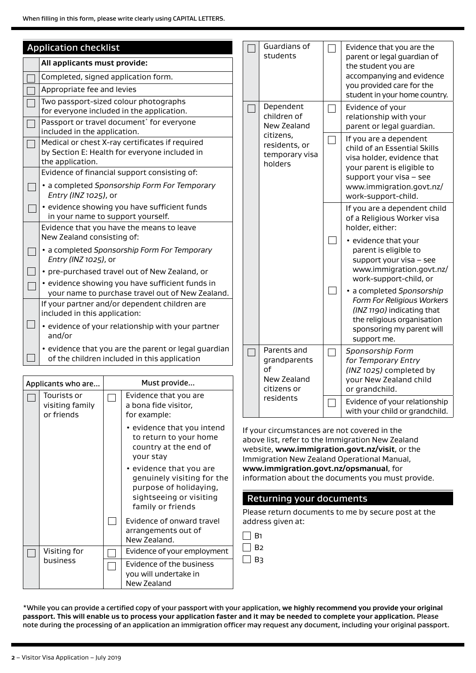|                                    | <b>Application checklist</b><br>All applicants must provide:                                                         |  | Guardians of<br>students                   | Evidence that you are the<br>parent or legal guardian of                                                           |
|------------------------------------|----------------------------------------------------------------------------------------------------------------------|--|--------------------------------------------|--------------------------------------------------------------------------------------------------------------------|
|                                    | Completed, signed application form.                                                                                  |  |                                            | the student you are<br>accompanying and evidence                                                                   |
|                                    | Appropriate fee and levies                                                                                           |  |                                            | you provided care for the<br>student in your home country.                                                         |
|                                    | Two passport-sized colour photographs<br>for everyone included in the application.                                   |  | Dependent<br>children of                   | Evidence of your<br>relationship with your                                                                         |
|                                    | Passport or travel document <sup>*</sup> for everyone<br>included in the application.                                |  | New Zealand<br>citizens,                   | parent or legal guardian.                                                                                          |
|                                    | Medical or chest X-ray certificates if required<br>by Section E: Health for everyone included in<br>the application. |  | residents, or<br>temporary visa<br>holders | If you are a dependent<br>child of an Essential Skills<br>visa holder, evidence that<br>your parent is eligible to |
|                                    | Evidence of financial support consisting of:                                                                         |  |                                            | support your visa - see                                                                                            |
|                                    | • a completed Sponsorship Form For Temporary<br>Entry (INZ 1025), or                                                 |  |                                            | www.immigration.govt.nz/<br>work-support-child.                                                                    |
|                                    | · evidence showing you have sufficient funds<br>in your name to support yourself.                                    |  |                                            | If you are a dependent child<br>of a Religious Worker visa                                                         |
|                                    | Evidence that you have the means to leave<br>New Zealand consisting of:                                              |  |                                            | holder, either:                                                                                                    |
|                                    | • a completed Sponsorship Form For Temporary<br>Entry (INZ 1025), or                                                 |  |                                            | • evidence that your<br>parent is eligible to<br>support your visa - see                                           |
|                                    | • pre-purchased travel out of New Zealand, or                                                                        |  |                                            | www.immigration.govt.nz/<br>work-support-child, or                                                                 |
|                                    | · evidence showing you have sufficient funds in<br>your name to purchase travel out of New Zealand.                  |  |                                            | · a completed Sponsorship                                                                                          |
|                                    | If your partner and/or dependent children are<br>included in this application:                                       |  |                                            | Form For Religious Workers<br>(INZ 1190) indicating that                                                           |
|                                    | • evidence of your relationship with your partner<br>and/or                                                          |  |                                            | the religious organisation<br>sponsoring my parent will<br>support me.                                             |
|                                    | • evidence that you are the parent or legal guardian<br>of the children included in this application                 |  | Parents and<br>grandparents                | Sponsorship Form<br>for Temporary Entry                                                                            |
|                                    |                                                                                                                      |  | of                                         | (INZ 1025) completed by                                                                                            |
| Must provide<br>Applicants who are |                                                                                                                      |  | New Zealand<br>citizens or                 | your New Zealand child<br>or grandchild.                                                                           |

| Applicants who are |                                              | Must provide                                                                                                                    |
|--------------------|----------------------------------------------|---------------------------------------------------------------------------------------------------------------------------------|
|                    | Tourists or<br>visiting family<br>or friends | Evidence that you are<br>a bona fide visitor,<br>for example:                                                                   |
|                    |                                              | • evidence that you intend<br>to return to your home<br>country at the end of<br>your stay                                      |
|                    |                                              | • evidence that you are<br>genuinely visiting for the<br>purpose of holidaying,<br>sightseeing or visiting<br>family or friends |
|                    |                                              | Evidence of onward travel<br>arrangements out of<br>New Zealand.                                                                |
|                    | Visiting for                                 | Evidence of your employment                                                                                                     |
|                    | business                                     | Evidence of the business<br>you will undertake in<br>New Zealand                                                                |

If your circumstances are not covered in the above list, refer to the Immigration New Zealand website, **www.immigration.govt.nz/visit**, or the Immigration New Zealand Operational Manual, **www.immigration.govt.nz/opsmanual**, for information about the documents you must provide.

Evidence of your relationship with your child or grandchild.

## Returning your documents

residents

Please return documents to me by secure post at the address given at:

 $\Box$  B1  $\Box$  B<sub>2</sub>  $\Box$  B<sub>3</sub>

\*While you can provide a certified copy of your passport with your application, **we highly recommend you provide your original passport. This will enable us to process your application faster and it may be needed to complete your application.** Please note during the processing of an application an immigration officer may request any document, including your original passport.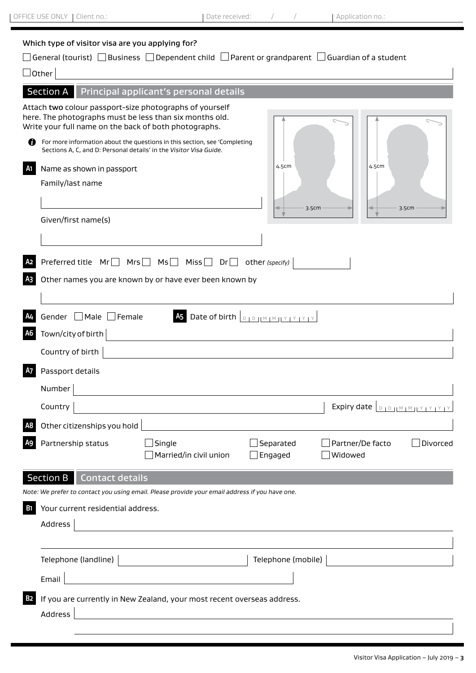# Which type of visitor visa are you applying for?

|                  |                                                                                                                                                                             | ] General (tourist) $~\Box$ Business $~\Box$ Dependent child $~\Box$ Parent or grandparent $~\Box$ Guardian of a student |                      |                             |                           |  |  |  |
|------------------|-----------------------------------------------------------------------------------------------------------------------------------------------------------------------------|--------------------------------------------------------------------------------------------------------------------------|----------------------|-----------------------------|---------------------------|--|--|--|
| $\Box$ Other     |                                                                                                                                                                             |                                                                                                                          |                      |                             |                           |  |  |  |
| <b>Section A</b> |                                                                                                                                                                             | Principal applicant's personal details                                                                                   |                      |                             |                           |  |  |  |
| Ø                | Attach two colour passport-size photographs of yourself<br>here. The photographs must be less than six months old.<br>Write your full name on the back of both photographs. | For more information about the questions in this section, see 'Completing                                                |                      |                             |                           |  |  |  |
|                  | Sections A, C, and D: Personal details' in the Visitor Visa Guide.                                                                                                          |                                                                                                                          |                      |                             |                           |  |  |  |
| A <sub>1</sub>   | Name as shown in passport                                                                                                                                                   |                                                                                                                          | 4.5cm                | 4.5cm                       |                           |  |  |  |
|                  | Family/last name                                                                                                                                                            |                                                                                                                          |                      |                             |                           |  |  |  |
|                  |                                                                                                                                                                             |                                                                                                                          | 3.5cm                |                             | 3.5cm                     |  |  |  |
|                  | Given/first name(s)                                                                                                                                                         |                                                                                                                          |                      |                             |                           |  |  |  |
|                  |                                                                                                                                                                             |                                                                                                                          |                      |                             |                           |  |  |  |
|                  | Preferred title $Mr \Box$ Mrs $\Box$                                                                                                                                        | $MS \Box$ Miss $\Box$ Dr $\Box$                                                                                          | other (specify)      |                             |                           |  |  |  |
|                  | Other names you are known by or have ever been known by                                                                                                                     |                                                                                                                          |                      |                             |                           |  |  |  |
|                  |                                                                                                                                                                             |                                                                                                                          |                      |                             |                           |  |  |  |
| A4               | As Date of birth $\boxed{D + D +  M + M  + Y + Y + Y + Y}$<br>Gender   Male   Female                                                                                        |                                                                                                                          |                      |                             |                           |  |  |  |
|                  | Town/city of birth                                                                                                                                                          |                                                                                                                          |                      |                             |                           |  |  |  |
|                  | Country of birth                                                                                                                                                            |                                                                                                                          |                      |                             |                           |  |  |  |
| <b>A7</b>        | Passport details                                                                                                                                                            |                                                                                                                          |                      |                             |                           |  |  |  |
|                  | Number                                                                                                                                                                      |                                                                                                                          |                      |                             |                           |  |  |  |
|                  | Country                                                                                                                                                                     |                                                                                                                          |                      | Expiry date                 | $D + D + M + M + M + Y +$ |  |  |  |
|                  | Other citizenships you hold                                                                                                                                                 |                                                                                                                          |                      |                             |                           |  |  |  |
|                  | Partnership status                                                                                                                                                          | Single<br>Married/in civil union                                                                                         | Separated<br>Engaged | Partner/De facto<br>Widowed | Divorced                  |  |  |  |
|                  | Section B   Contact details                                                                                                                                                 |                                                                                                                          |                      |                             |                           |  |  |  |
|                  |                                                                                                                                                                             | Note: We prefer to contact you using email. Please provide your email address if you have one.                           |                      |                             |                           |  |  |  |
| <b>B1</b>        | Your current residential address.                                                                                                                                           |                                                                                                                          |                      |                             |                           |  |  |  |
|                  | Address                                                                                                                                                                     |                                                                                                                          |                      |                             |                           |  |  |  |
|                  | Telephone (landline) 2000 2000 2010 2010 2010 2010 2011 2012 2021 2021 2022 2023 2024 2025 2026 2027 2028 2020                                                              |                                                                                                                          | Telephone (mobile)   |                             |                           |  |  |  |
|                  | Email                                                                                                                                                                       | <u> 1989 - Johann Barn, mars eta bainar eta idazlea (</u>                                                                |                      |                             |                           |  |  |  |
| <b>B2</b>        |                                                                                                                                                                             | If you are currently in New Zealand, your most recent overseas address.                                                  |                      |                             |                           |  |  |  |
|                  | Address                                                                                                                                                                     | <u> 1980 - Johann Barbara, martxa alemaniar amerikan a</u>                                                               |                      |                             |                           |  |  |  |
|                  |                                                                                                                                                                             |                                                                                                                          |                      |                             |                           |  |  |  |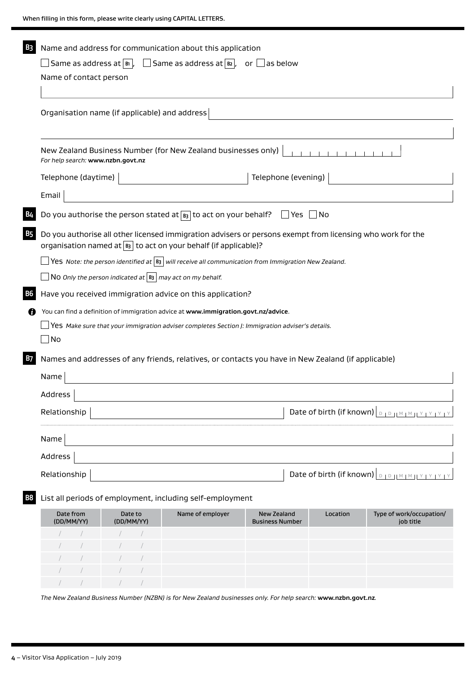|           | Name and address for communication about this application<br>$\Box$ Same as address at $\boxed{\scriptscriptstyle\rm B}$ , $\quad \Box$ Same as address at $\boxed{\scriptscriptstyle\rm B}$ , $\quad$ or $\Box$ as below<br>Name of contact person |                                                                        |                                                                                                                                                                                         |                                              |  |          |                                                                                                                                          |
|-----------|-----------------------------------------------------------------------------------------------------------------------------------------------------------------------------------------------------------------------------------------------------|------------------------------------------------------------------------|-----------------------------------------------------------------------------------------------------------------------------------------------------------------------------------------|----------------------------------------------|--|----------|------------------------------------------------------------------------------------------------------------------------------------------|
|           | Organisation name (if applicable) and address                                                                                                                                                                                                       |                                                                        |                                                                                                                                                                                         |                                              |  |          |                                                                                                                                          |
|           | New Zealand Business Number (for New Zealand businesses only)<br>For help search: www.nzbn.govt.nz                                                                                                                                                  |                                                                        |                                                                                                                                                                                         |                                              |  |          |                                                                                                                                          |
|           | Telephone (daytime)                                                                                                                                                                                                                                 |                                                                        | <u> 1980 - Johann Barbara, martxa a</u>                                                                                                                                                 | Telephone (evening)                          |  |          |                                                                                                                                          |
|           | Email                                                                                                                                                                                                                                               |                                                                        |                                                                                                                                                                                         |                                              |  |          |                                                                                                                                          |
| В4        |                                                                                                                                                                                                                                                     |                                                                        | Do you authorise the person stated at $_{\mathsf{B3}}$ to act on your behalf? $\Box$ Yes $\Box$ No                                                                                      |                                              |  |          |                                                                                                                                          |
| B5        |                                                                                                                                                                                                                                                     |                                                                        | Do you authorise all other licensed immigration advisers or persons exempt from licensing who work for the<br>organisation named at $\boxed{B3}$ to act on your behalf (if applicable)? |                                              |  |          |                                                                                                                                          |
|           |                                                                                                                                                                                                                                                     |                                                                        | Yes Note: the person identified at $ B_3 $ will receive all communication from Immigration New Zealand.                                                                                 |                                              |  |          |                                                                                                                                          |
|           |                                                                                                                                                                                                                                                     | NO Only the person indicated at $ \mathbf{B}_3 $ may act on my behalf. |                                                                                                                                                                                         |                                              |  |          |                                                                                                                                          |
| <b>B6</b> |                                                                                                                                                                                                                                                     |                                                                        | Have you received immigration advice on this application?                                                                                                                               |                                              |  |          |                                                                                                                                          |
| 7         |                                                                                                                                                                                                                                                     |                                                                        | You can find a definition of immigration advice at www.immigration.govt.nz/advice.                                                                                                      |                                              |  |          |                                                                                                                                          |
|           | Yes Make sure that your immigration adviser completes Section J: Immigration adviser's details.                                                                                                                                                     |                                                                        |                                                                                                                                                                                         |                                              |  |          |                                                                                                                                          |
|           | $\Box$ No                                                                                                                                                                                                                                           |                                                                        |                                                                                                                                                                                         |                                              |  |          |                                                                                                                                          |
| В7        |                                                                                                                                                                                                                                                     |                                                                        | Names and addresses of any friends, relatives, or contacts you have in New Zealand (if applicable)                                                                                      |                                              |  |          |                                                                                                                                          |
|           | Name                                                                                                                                                                                                                                                |                                                                        |                                                                                                                                                                                         |                                              |  |          |                                                                                                                                          |
|           | Address                                                                                                                                                                                                                                             |                                                                        |                                                                                                                                                                                         |                                              |  |          |                                                                                                                                          |
|           | Relationship                                                                                                                                                                                                                                        |                                                                        |                                                                                                                                                                                         |                                              |  |          | Date of birth (if known) $\vert_{\mathbb{D} + \mathbb{D} + \mathbb{N} + \mathbb{N} + \mathbb{N} + \mathbb{N} + \mathbb{N} + \mathbb{N}}$ |
|           | Name                                                                                                                                                                                                                                                |                                                                        |                                                                                                                                                                                         |                                              |  |          |                                                                                                                                          |
|           | Address                                                                                                                                                                                                                                             |                                                                        |                                                                                                                                                                                         |                                              |  |          |                                                                                                                                          |
|           | Date of birth (if known) <b>DEP ATM TM TY TY TY</b><br>Relationship                                                                                                                                                                                 |                                                                        |                                                                                                                                                                                         |                                              |  |          |                                                                                                                                          |
| Β8        |                                                                                                                                                                                                                                                     |                                                                        | List all periods of employment, including self-employment                                                                                                                               |                                              |  |          |                                                                                                                                          |
|           | Date from<br>(DD/MM/YY)                                                                                                                                                                                                                             | Date to<br>(DD/MM/YY)                                                  | Name of employer                                                                                                                                                                        | <b>New Zealand</b><br><b>Business Number</b> |  | Location | Type of work/occupation/<br>job title                                                                                                    |
|           |                                                                                                                                                                                                                                                     |                                                                        |                                                                                                                                                                                         |                                              |  |          |                                                                                                                                          |
|           |                                                                                                                                                                                                                                                     |                                                                        |                                                                                                                                                                                         |                                              |  |          |                                                                                                                                          |
|           |                                                                                                                                                                                                                                                     |                                                                        |                                                                                                                                                                                         |                                              |  |          |                                                                                                                                          |
|           |                                                                                                                                                                                                                                                     |                                                                        |                                                                                                                                                                                         |                                              |  |          |                                                                                                                                          |

*The New Zealand Business Number (NZBN) is for New Zealand businesses only. For help search:* **www.nzbn.govt.nz***.*

 $\overline{\phantom{a}}$ 

/ / / /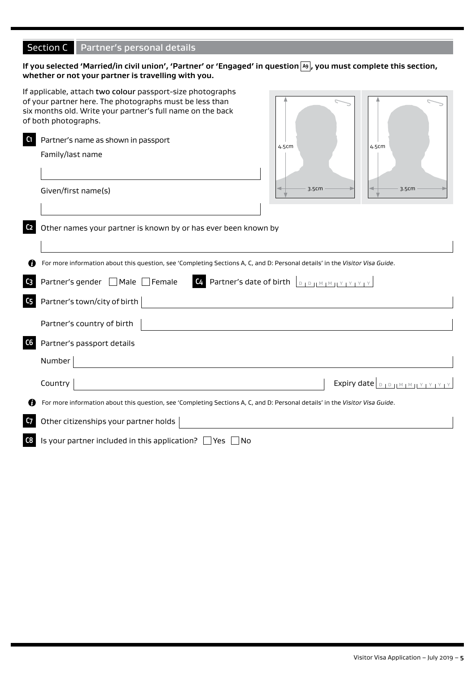# Section C Partner's personal details

# If you selected 'Married/in civil union', 'Partner' or 'Engaged' in question [A9], you must complete this section, **whether or not your partner is travelling with you.**

|                                  | If applicable, attach two colour passport-size photographs<br>of your partner here. The photographs must be less than<br>six months old. Write your partner's full name on the back<br>of both photographs.                                                                   |
|----------------------------------|-------------------------------------------------------------------------------------------------------------------------------------------------------------------------------------------------------------------------------------------------------------------------------|
| C <sub>1</sub>                   | Partner's name as shown in passport<br>4.5cm<br>4.5cm<br>Family/last name<br>3.5cm<br>3.5cm<br>Given/first name(s)                                                                                                                                                            |
| C <sub>2</sub>                   | Other names your partner is known by or has ever been known by                                                                                                                                                                                                                |
| C <sub>3</sub><br>C <sub>5</sub> | For more information about this question, see 'Completing Sections A, C, and D: Personal details' in the Visitor Visa Guide.<br><b>C4</b> Partner's date of birth $\boxed{D + D +  M + M  + Y + Y + Y + Y}$<br>Partner's gender   Male Female<br>Partner's town/city of birth |
|                                  | Partner's country of birth                                                                                                                                                                                                                                                    |
| C6                               | Partner's passport details<br>Number                                                                                                                                                                                                                                          |
|                                  | Expiry date $\vert_{\mathbb{D}+\mathbb{D}+\mathbb{N}+\mathbb{M}+\mathbb{N}+\mathbb{N}+\mathbb{N}+\mathbb{N}}$<br>Country                                                                                                                                                      |
| C <sub>7</sub>                   | For more information about this question, see 'Completing Sections A, C, and D: Personal details' in the Visitor Visa Guide.<br>Other citizenships your partner holds                                                                                                         |
| C8                               | Is your partner included in this application? $\Box$ Yes $\Box$ No                                                                                                                                                                                                            |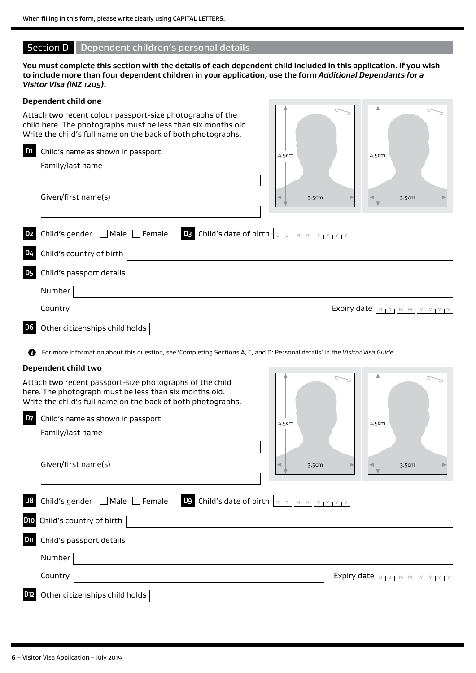# Section D Dependent children's personal details

**You must complete this section with the details of each dependent child included in this application. If you wish to include more than four dependent children in your application, use the form** *Additional Dependants for a Visitor Visa (INZ 1205)***.**

# **Dependent child one** Attach two recent colour passport-size photographs of the child here. The photographs must be less than six months old. Write the child's full name on the back of both photographs. **D1** Child's name as shown in passport Family/last name Given/first name(s) **D2** Child's gender Male Female **D3** Child's date of birth <sup>D</sup> <sup>D</sup> <sup>M</sup> <sup>M</sup> <sup>Y</sup> <sup>Y</sup> <sup>Y</sup> <sup>Y</sup> Child's country of birth **D5** Child's passport details Number **Country**  $\vert$  Expiry date  $\vert_{\mathcal{D} \text{ to } \mathcal{D}}$   $\vert$  Expiry date  $\vert_{\mathcal{D} \text{ to } \mathcal{D}}$   $\vert_{\mathcal{M} \text{ in } \mathcal{M}}$ **D6** Other citizenships child holds For more information about this question, see 'Completing Sections A, C, and D: Personal details' in the *Visitor Visa Guide*. **Dependent child two** Attach two recent passport-size photographs of the child here. The photograph must be less than six months old. Write the child's full name on the back of both photographs. **D7** Child's name as shown in passport Family/last name Given/first name(s) 4.5cm  $3.5cm \rightarrow$  3.5cm 4.5cm 4.5cm  $\sim$  3.5cm  $\sim$  3.5cm 4.5cm

**D8** Child's gender  $\Box$  Male  $\Box$  Female **D9** Child's date of birth  $\Box$  D  $\Box$  M M M  $\Box$  Y LY LY LY **D10** Child's country of birth **D11** Child's passport details Number **Country**  $\vert$  Expiry date  $\vert_{\text{D}_1\text{D}_1 \mid \text{M}_1 \mid \text{M}_1 \mid \text{Y}_1 \mid \text{Y}_1 \mid \text{Y}_1 \mid \text{Y}_1 \mid \text{Y}_1 \mid \text{Y}_1 \mid \text{Y}_1 \mid \text{Y}_1 \mid \text{Y}_1 \mid \text{Y}_1 \mid \text{Y}_1 \mid \text{Y}_1 \mid \text{Y}_1 \mid \text{Y}_1 \mid \text{Y}_1 \mid \text{Y}_1 \mid \text{Y}_1 \mid \text{Y}_1 \mid \text{Y}_1 \mid \text{Y}_1 \mid$ **D12** Other citizenships child holds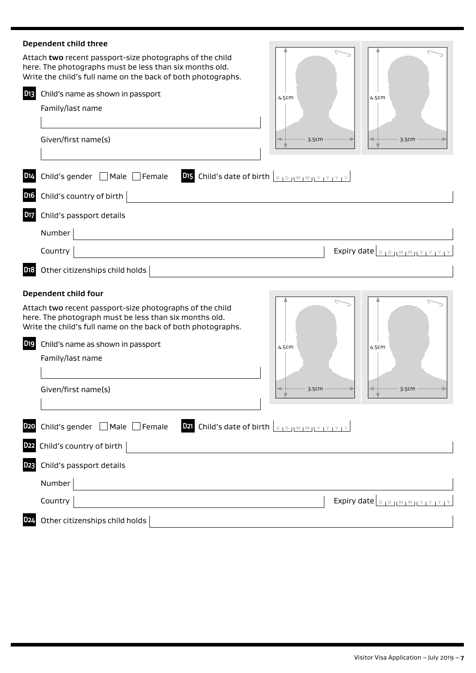| Dependent child three                                                                                                                                                               |                                                             |
|-------------------------------------------------------------------------------------------------------------------------------------------------------------------------------------|-------------------------------------------------------------|
| Attach two recent passport-size photographs of the child<br>here. The photographs must be less than six months old.<br>Write the child's full name on the back of both photographs. |                                                             |
| D <sub>13</sub><br>Child's name as shown in passport                                                                                                                                | 4.5cm<br>4.5cm                                              |
| Family/last name                                                                                                                                                                    |                                                             |
| Given/first name(s)                                                                                                                                                                 | 3.5cm<br>3.5cm                                              |
| Child's gender   Male   Female<br>D <sub>14</sub>                                                                                                                                   | DI5 Child's date of birth <b>DED JMMJYYYYY</b>              |
| Child's country of birth<br>D <sub>16</sub>                                                                                                                                         |                                                             |
| Child's passport details<br><b>D17</b>                                                                                                                                              |                                                             |
| Number                                                                                                                                                                              |                                                             |
| Country                                                                                                                                                                             | Expiry date <b>DIDJMMJYYYYY</b>                             |
| D <sub>1</sub> 8<br>Other citizenships child holds                                                                                                                                  |                                                             |
| Dependent child four                                                                                                                                                                |                                                             |
| Attach two recent passport-size photographs of the child<br>here. The photograph must be less than six months old.<br>Write the child's full name on the back of both photographs.  |                                                             |
| D <sub>19</sub><br>Child's name as shown in passport                                                                                                                                | 4.5cm<br>4.5cm                                              |
| Family/last name                                                                                                                                                                    |                                                             |
|                                                                                                                                                                                     |                                                             |
| Given/first name(s)                                                                                                                                                                 | 3.5cm<br>3.5cm                                              |
| Child's gender □ Male □ Female<br><b>D20</b>                                                                                                                                        | <b>D21</b> Child's date of birth <b>DED JMMMIY IY IY IY</b> |
| Child's country of birth<br>D <sub>22</sub>                                                                                                                                         |                                                             |
| Child's passport details<br><b>D23</b>                                                                                                                                              |                                                             |
| Number                                                                                                                                                                              |                                                             |
| Country                                                                                                                                                                             | Expiry date <b>DIDJMMJYPYYPY</b>                            |
|                                                                                                                                                                                     |                                                             |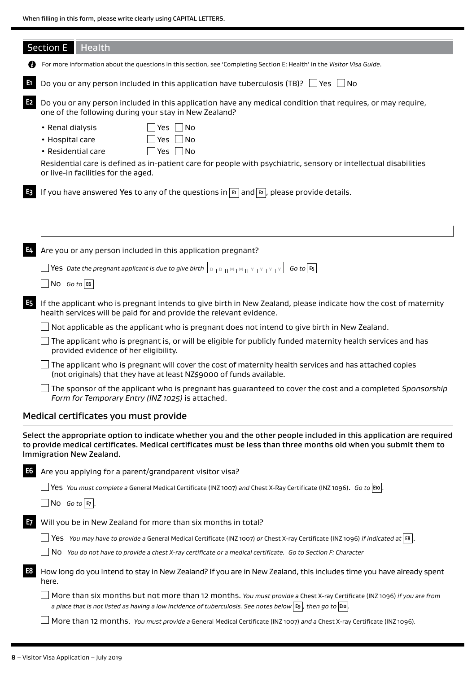|                | <b>Section E</b><br>Health                                                                                                                                                                                                                                                   |
|----------------|------------------------------------------------------------------------------------------------------------------------------------------------------------------------------------------------------------------------------------------------------------------------------|
|                | For more information about the questions in this section, see 'Completing Section E: Health' in the Visitor Visa Guide.                                                                                                                                                      |
| E              | Do you or any person included in this application have tuberculosis (TB)? $\Box$ Yes $\Box$ No                                                                                                                                                                               |
| E <sub>2</sub> | Do you or any person included in this application have any medical condition that requires, or may require,<br>one of the following during your stay in New Zealand?                                                                                                         |
|                | $Yes$ No<br>• Renal dialysis<br>Yes $\Box$ No<br>• Hospital care<br>$\exists$ Yes $\Box$ No<br>• Residential care<br>Residential care is defined as in-patient care for people with psychiatric, sensory or intellectual disabilities<br>or live-in facilities for the aged. |
| E3             | If you have answered Yes to any of the questions in $\mathbb{E}$ and $\mathbb{E}$ , please provide details.                                                                                                                                                                  |
|                |                                                                                                                                                                                                                                                                              |
| E4             | Are you or any person included in this application pregnant?<br>$\log$ Go to E6                                                                                                                                                                                              |
| <b>E5</b>      | If the applicant who is pregnant intends to give birth in New Zealand, please indicate how the cost of maternity<br>health services will be paid for and provide the relevant evidence.                                                                                      |
|                | Not applicable as the applicant who is pregnant does not intend to give birth in New Zealand.                                                                                                                                                                                |
|                | The applicant who is pregnant is, or will be eligible for publicly funded maternity health services and has<br>provided evidence of her eligibility.                                                                                                                         |
|                | The applicant who is pregnant will cover the cost of maternity health services and has attached copies<br>(not originals) that they have at least NZ\$9000 of funds available.                                                                                               |
|                | The sponsor of the applicant who is pregnant has guaranteed to cover the cost and a completed Sponsorship<br>Form for Temporary Entry (INZ 1025) is attached.                                                                                                                |
|                | Medical certificates you must provide                                                                                                                                                                                                                                        |
|                | Select the appropriate option to indicate whether you and the other people included in this application are required<br>to provide medical certificates. Medical certificates must be less than three months old when you submit them to<br>Immigration New Zealand.         |
| E6             | Are you applying for a parent/grandparent visitor visa?                                                                                                                                                                                                                      |
|                | $\Box$ Yes You must complete a General Medical Certificate (INZ 1007) and Chest X-Ray Certificate (INZ 1096). Go to E10.                                                                                                                                                     |
|                | $\Box$ No Go to E7 .                                                                                                                                                                                                                                                         |
| E7             | Will you be in New Zealand for more than six months in total?                                                                                                                                                                                                                |

Yes *You may have to provide a* General Medical Certificate (INZ 1007) *or* Chest X-ray Certificate (INZ 1096) *if indicated at* **E8** .

No *You do not have to provide a chest X-ray certificate or a medical certificate. Go to Section F: Character*

**E8** How long do you intend to stay in New Zealand? If you are in New Zealand, this includes time you have already spent here.

More than six months but not more than 12 months. *You must provide a* Chest X-ray Certificate (INZ 1096) *if you are from a place that is not listed as having a low incidence of tuberculosis. See notes below* **E9** *, then go to* **E10** *.*

More than 12 months. *You must provide a* General Medical Certificate (INZ 1007) *and a* Chest X-ray Certificate (INZ 1096)*.*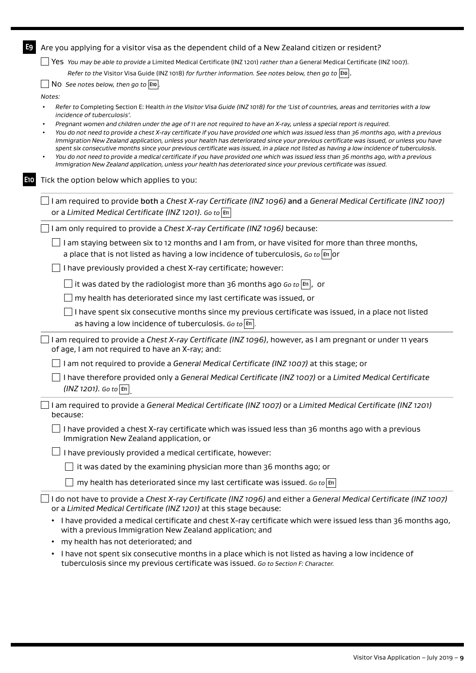| E9  | Are you applying for a visitor visa as the dependent child of a New Zealand citizen or resident?                                                                                                                                                                                 |
|-----|----------------------------------------------------------------------------------------------------------------------------------------------------------------------------------------------------------------------------------------------------------------------------------|
|     | Yes You may be able to provide a Limited Medical Certificate (INZ 1201) rather than a General Medical Certificate (INZ 1007).                                                                                                                                                    |
|     | Refer to the Visitor Visa Guide (INZ 1018) for further information. See notes below, then go to $\mathsf{[E10]}$ .                                                                                                                                                               |
|     | NO See notes below, then go to $ E10 $ .                                                                                                                                                                                                                                         |
|     | Notes:                                                                                                                                                                                                                                                                           |
|     | Refer to Completing Section E: Health in the Visitor Visa Guide (INZ 1018) for the 'List of countries, areas and territories with a low<br>incidence of tuberculosis'.                                                                                                           |
|     | Pregnant women and children under the age of 11 are not required to have an X-ray, unless a special report is required.<br>You do not need to provide a chest X-ray certificate if you have provided one which was issued less than 36 months ago, with a previous               |
|     | Immigration New Zealand application, unless your health has deteriorated since your previous certificate was issued, or unless you have                                                                                                                                          |
|     | spent six consecutive months since your previous certificate was issued, in a place not listed as having a low incidence of tuberculosis.<br>You do not need to provide a medical certificate if you have provided one which was issued less than 36 months ago, with a previous |
|     | Immigration New Zealand application, unless your health has deteriorated since your previous certificate was issued.                                                                                                                                                             |
| E10 | Tick the option below which applies to you:                                                                                                                                                                                                                                      |
|     | I am required to provide both a Chest X-ray Certificate (INZ 1096) and a General Medical Certificate (INZ 1007)                                                                                                                                                                  |
|     | or a Limited Medical Certificate (INZ 1201). Go to En                                                                                                                                                                                                                            |
|     | I am only required to provide a Chest X-ray Certificate (INZ 1096) because:                                                                                                                                                                                                      |
|     | I am staying between six to 12 months and I am from, or have visited for more than three months,                                                                                                                                                                                 |
|     | a place that is not listed as having a low incidence of tuberculosis, Go to $\left \mathbb{H}\right $ or                                                                                                                                                                         |
|     | I have previously provided a chest X-ray certificate; however:                                                                                                                                                                                                                   |
|     | it was dated by the radiologist more than 36 months ago Go to $ \mathbf{m} $ , or                                                                                                                                                                                                |
|     | my health has deteriorated since my last certificate was issued, or                                                                                                                                                                                                              |
|     | I have spent six consecutive months since my previous certificate was issued, in a place not listed                                                                                                                                                                              |
|     | as having a low incidence of tuberculosis. Go to $ \mathbf{m} $                                                                                                                                                                                                                  |
|     | I am required to provide a Chest X-ray Certificate (INZ 1096), however, as I am pregnant or under 11 years                                                                                                                                                                       |
|     | of age, I am not required to have an X-ray; and:                                                                                                                                                                                                                                 |
|     | I am not required to provide a General Medical Certificate (INZ 1007) at this stage; or                                                                                                                                                                                          |
|     | I have therefore provided only a General Medical Certificate (INZ 1007) or a Limited Medical Certificate<br>$(INZ 1201)$ . Go to $ \mathbf{m} $                                                                                                                                  |
|     | I am required to provide a General Medical Certificate (INZ 1007) or a Limited Medical Certificate (INZ 1201)<br>because:                                                                                                                                                        |
|     | $\Box$ I have provided a chest X-ray certificate which was issued less than 36 months ago with a previous<br>Immigration New Zealand application, or                                                                                                                             |
|     | I have previously provided a medical certificate, however:                                                                                                                                                                                                                       |
|     | it was dated by the examining physician more than 36 months ago; or                                                                                                                                                                                                              |
|     | my health has deteriorated since my last certificate was issued. Go to $\vert$ En                                                                                                                                                                                                |
|     |                                                                                                                                                                                                                                                                                  |
|     | I do not have to provide a Chest X-ray Certificate (INZ 1096) and either a General Medical Certificate (INZ 1007)<br>or a Limited Medical Certificate (INZ 1201) at this stage because:                                                                                          |
|     | • I have provided a medical certificate and chest X-ray certificate which were issued less than 36 months ago,<br>with a previous Immigration New Zealand application; and                                                                                                       |
|     | my health has not deteriorated; and<br>٠                                                                                                                                                                                                                                         |
|     |                                                                                                                                                                                                                                                                                  |

• I have not spent six consecutive months in a place which is not listed as having a low incidence of tuberculosis since my previous certificate was issued. *Go to Section F: Character.*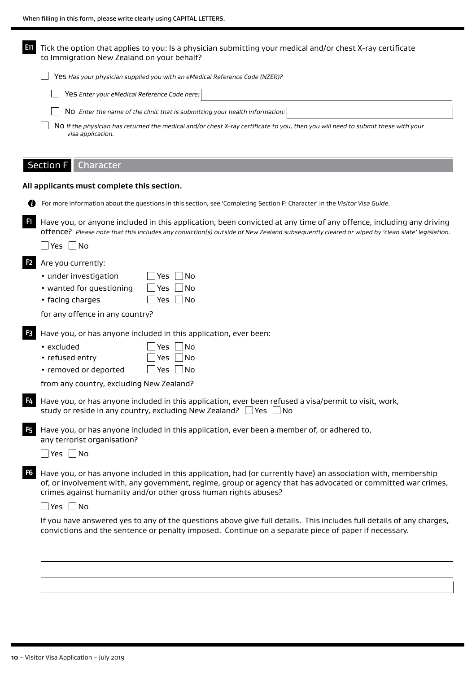| En             | Tick the option that applies to you: Is a physician submitting your medical and/or chest X-ray certificate<br>to Immigration New Zealand on your behalf?                                                                                                                                                                                                                                                                                                                                                                                                 |  |  |  |  |
|----------------|----------------------------------------------------------------------------------------------------------------------------------------------------------------------------------------------------------------------------------------------------------------------------------------------------------------------------------------------------------------------------------------------------------------------------------------------------------------------------------------------------------------------------------------------------------|--|--|--|--|
|                | Yes Has your physician supplied you with an eMedical Reference Code (NZER)?                                                                                                                                                                                                                                                                                                                                                                                                                                                                              |  |  |  |  |
|                | Yes Enter your eMedical Reference Code here:                                                                                                                                                                                                                                                                                                                                                                                                                                                                                                             |  |  |  |  |
|                | NO Enter the name of the clinic that is submitting your health information:                                                                                                                                                                                                                                                                                                                                                                                                                                                                              |  |  |  |  |
|                | NO If the physician has returned the medical and/or chest X-ray certificate to you, then you will need to submit these with your<br>visa application.                                                                                                                                                                                                                                                                                                                                                                                                    |  |  |  |  |
|                | Section F<br>Character                                                                                                                                                                                                                                                                                                                                                                                                                                                                                                                                   |  |  |  |  |
|                | All applicants must complete this section.                                                                                                                                                                                                                                                                                                                                                                                                                                                                                                               |  |  |  |  |
|                | For more information about the questions in this section, see 'Completing Section F: Character' in the Visitor Visa Guide.                                                                                                                                                                                                                                                                                                                                                                                                                               |  |  |  |  |
| F <sub>1</sub> | Have you, or anyone included in this application, been convicted at any time of any offence, including any driving<br>offence? Please note that this includes any conviction(s) outside of New Zealand subsequently cleared or wiped by 'clean slate' legislation.<br>_ Yes  __ No                                                                                                                                                                                                                                                                       |  |  |  |  |
| F <sub>2</sub> | Are you currently:<br>• under investigation<br>∐No<br>Yes<br>• wanted for questioning<br>_  No<br>Yes<br>Yes $\Box$ No<br>• facing charges<br>for any offence in any country?                                                                                                                                                                                                                                                                                                                                                                            |  |  |  |  |
| F <sub>3</sub> | Have you, or has anyone included in this application, ever been:<br> No<br>Yes<br>• excluded<br>• refused entry<br>Yes<br>No<br>• removed or deported<br>_ Yes  _ No<br>from any country, excluding New Zealand?                                                                                                                                                                                                                                                                                                                                         |  |  |  |  |
|                | <b>E.</b> Have you, or has anyone included in this application, ever been refused a visa/permit to visit, work,<br>study or reside in any country, excluding New Zealand? $\Box$ Yes $\Box$ No                                                                                                                                                                                                                                                                                                                                                           |  |  |  |  |
| F <sub>5</sub> | Have you, or has anyone included in this application, ever been a member of, or adhered to,<br>any terrorist organisation?<br>$\Box$ Yes $\Box$ No                                                                                                                                                                                                                                                                                                                                                                                                       |  |  |  |  |
| F <sub>6</sub> | Have you, or has anyone included in this application, had (or currently have) an association with, membership<br>of, or involvement with, any government, regime, group or agency that has advocated or committed war crimes,<br>crimes against humanity and/or other gross human rights abuses?<br>$\Box$ Yes $\Box$ No<br>If you have answered yes to any of the questions above give full details. This includes full details of any charges,<br>convictions and the sentence or penalty imposed. Continue on a separate piece of paper if necessary. |  |  |  |  |
|                |                                                                                                                                                                                                                                                                                                                                                                                                                                                                                                                                                          |  |  |  |  |
|                |                                                                                                                                                                                                                                                                                                                                                                                                                                                                                                                                                          |  |  |  |  |
|                |                                                                                                                                                                                                                                                                                                                                                                                                                                                                                                                                                          |  |  |  |  |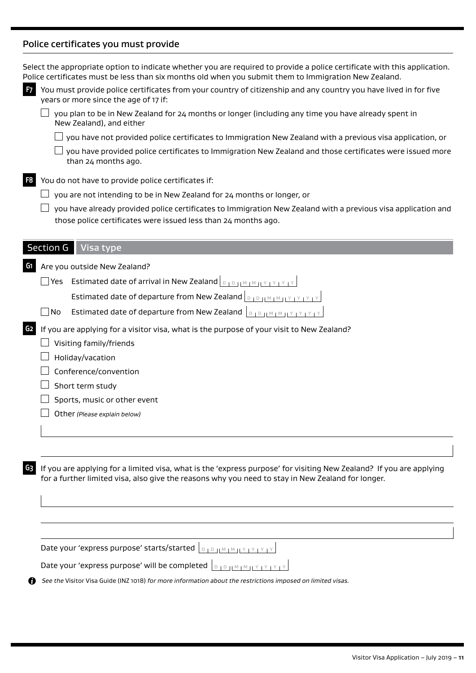# Police certificates you must provide

|    | years or more since the age of 17 if:                                                                                                                                                                                    |
|----|--------------------------------------------------------------------------------------------------------------------------------------------------------------------------------------------------------------------------|
|    | you plan to be in New Zealand for 24 months or longer (including any time you have already spent in<br>New Zealand), and either                                                                                          |
|    | you have not provided police certificates to Immigration New Zealand with a previous visa application, or                                                                                                                |
|    | you have provided police certificates to Immigration New Zealand and those certificates were issued more<br>than 24 months ago.                                                                                          |
| F8 | You do not have to provide police certificates if:                                                                                                                                                                       |
|    | you are not intending to be in New Zealand for 24 months or longer, or                                                                                                                                                   |
|    | you have already provided police certificates to Immigration New Zealand with a previous visa application and<br>those police certificates were issued less than 24 months ago.                                          |
|    | <b>Section G</b><br>Visa type                                                                                                                                                                                            |
| G1 | Are you outside New Zealand?                                                                                                                                                                                             |
|    | Estimated date of arrival in New Zealand $\vert_{\text{DIPHMMMMY}}$<br>Yes                                                                                                                                               |
|    | Estimated date of departure from New Zealand <b>DEP HAMM HYPYPY</b>                                                                                                                                                      |
|    | Estimated date of departure from New Zealand<br>No                                                                                                                                                                       |
| G2 | If you are applying for a visitor visa, what is the purpose of your visit to New Zealand?                                                                                                                                |
|    | Visiting family/friends                                                                                                                                                                                                  |
|    | Holiday/vacation                                                                                                                                                                                                         |
|    | Conference/convention                                                                                                                                                                                                    |
|    | Short term study                                                                                                                                                                                                         |
|    | Sports, music or other event                                                                                                                                                                                             |
|    | Other (Please explain below)                                                                                                                                                                                             |
|    |                                                                                                                                                                                                                          |
|    |                                                                                                                                                                                                                          |
| G3 | If you are applying for a limited visa, what is the 'express purpose' for visiting New Zealand? If you are applying<br>for a further limited visa, also give the reasons why you need to stay in New Zealand for longer. |
|    |                                                                                                                                                                                                                          |
|    |                                                                                                                                                                                                                          |
|    | Date your 'express purpose' starts/started  DIDJMIMIYIYIYIYIY                                                                                                                                                            |
|    | Date your 'express purpose' will be completed $\int_{D}$ $\int_{D}$ $\int_{M}$ $\int_{M}$ $\int_{M}$ $\int_{M}$ $\int_{M}$ $\int_{M}$                                                                                    |
|    | See the Visitor Visa Guide (INZ 1018) for more information about the restrictions imposed on limited visas.                                                                                                              |
|    |                                                                                                                                                                                                                          |
|    |                                                                                                                                                                                                                          |

Select the appropriate option to indicate whether you are required to provide a police certificate with this application.

**F7** You must provide police certificates from your country of citizenship and any country you have lived in for five

Police certificates must be less than six months old when you submit them to Immigration New Zealand.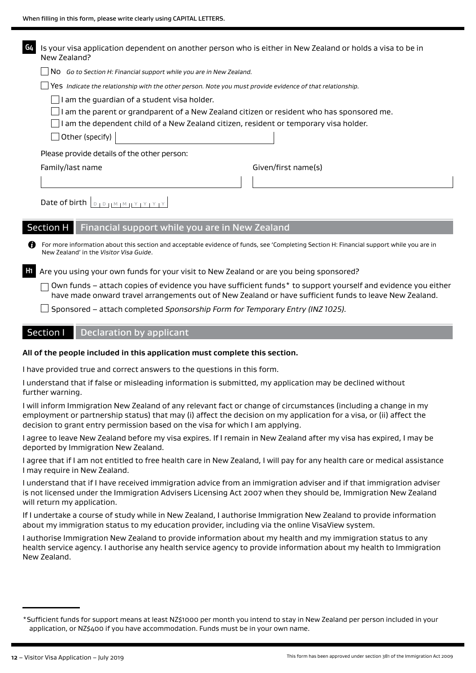| GΔ             |                  | Is your visa application dependent on another person who is either in New Zealand or holds a visa to be in<br>New Zealand? |                                                    |                                                |  |                                                                                                                                                                                                                        |
|----------------|------------------|----------------------------------------------------------------------------------------------------------------------------|----------------------------------------------------|------------------------------------------------|--|------------------------------------------------------------------------------------------------------------------------------------------------------------------------------------------------------------------------|
|                |                  | No Go to Section H: Financial support while you are in New Zealand.                                                        |                                                    |                                                |  |                                                                                                                                                                                                                        |
|                |                  |                                                                                                                            |                                                    |                                                |  | Yes Indicate the relationship with the other person. Note you must provide evidence of that relationship.                                                                                                              |
|                |                  |                                                                                                                            | $\Box$ I am the guardian of a student visa holder. |                                                |  |                                                                                                                                                                                                                        |
|                |                  |                                                                                                                            |                                                    |                                                |  | I am the parent or grandparent of a New Zealand citizen or resident who has sponsored me.                                                                                                                              |
|                |                  |                                                                                                                            |                                                    |                                                |  | I am the dependent child of a New Zealand citizen, resident or temporary visa holder.                                                                                                                                  |
|                |                  | Other (specify)                                                                                                            |                                                    |                                                |  |                                                                                                                                                                                                                        |
|                |                  |                                                                                                                            | Please provide details of the other person:        |                                                |  |                                                                                                                                                                                                                        |
|                | Family/last name |                                                                                                                            |                                                    |                                                |  | Given/first name(s)                                                                                                                                                                                                    |
|                |                  |                                                                                                                            |                                                    |                                                |  |                                                                                                                                                                                                                        |
|                |                  | Date of birth $\vert_{\mathbb{D}+\mathbb{D}+\mathbb{N}+\mathbb{N}+\mathbb{N}+\mathbb{N}+\mathbb{N}+\mathbb{N}}$            |                                                    |                                                |  |                                                                                                                                                                                                                        |
|                | <b>Section H</b> |                                                                                                                            |                                                    | Financial support while you are in New Zealand |  |                                                                                                                                                                                                                        |
| n              |                  | New Zealand' in the Visitor Visa Guide.                                                                                    |                                                    |                                                |  | For more information about this section and acceptable evidence of funds, see 'Completing Section H: Financial support while you are in                                                                                |
| H <sub>1</sub> |                  |                                                                                                                            |                                                    |                                                |  | Are you using your own funds for your visit to New Zealand or are you being sponsored?                                                                                                                                 |
|                |                  |                                                                                                                            |                                                    |                                                |  | Own funds – attach copies of evidence you have sufficient funds* to support yourself and evidence you either<br>have made onward travel arrangements out of New Zealand or have sufficient funds to leave New Zealand. |
|                |                  |                                                                                                                            |                                                    |                                                |  | Sponsored - attach completed Sponsorship Form for Temporary Entry (INZ 1025).                                                                                                                                          |
|                | Section I        |                                                                                                                            | <b>Declaration by applicant</b>                    |                                                |  |                                                                                                                                                                                                                        |

#### **All of the people included in this application must complete this section.**

I have provided true and correct answers to the questions in this form.

I understand that if false or misleading information is submitted, my application may be declined without further warning.

I will inform Immigration New Zealand of any relevant fact or change of circumstances (including a change in my employment or partnership status) that may (i) affect the decision on my application for a visa, or (ii) affect the decision to grant entry permission based on the visa for which I am applying.

I agree to leave New Zealand before my visa expires. If I remain in New Zealand after my visa has expired, I may be deported by Immigration New Zealand.

I agree that if I am not entitled to free health care in New Zealand, I will pay for any health care or medical assistance I may require in New Zealand.

I understand that if I have received immigration advice from an immigration adviser and if that immigration adviser is not licensed under the Immigration Advisers Licensing Act 2007 when they should be, Immigration New Zealand will return my application.

If I undertake a course of study while in New Zealand, I authorise Immigration New Zealand to provide information about my immigration status to my education provider, including via the online VisaView system.

I authorise Immigration New Zealand to provide information about my health and my immigration status to any health service agency. I authorise any health service agency to provide information about my health to Immigration New Zealand.

<sup>\*</sup>Sufficient funds for support means at least NZ\$1000 per month you intend to stay in New Zealand per person included in your application, or NZ\$400 if you have accommodation. Funds must be in your own name.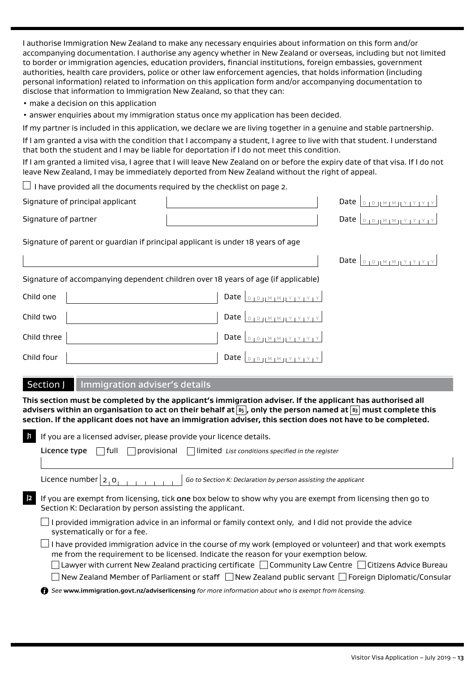I authorise Immigration New Zealand to make any necessary enquiries about information on this form and/or accompanying documentation. I authorise any agency whether in New Zealand or overseas, including but not limited to border or immigration agencies, education providers, financial institutions, foreign embassies, government authorities, health care providers, police or other law enforcement agencies, that holds information (including personal information) related to information on this application form and/or accompanying documentation to disclose that information to Immigration New Zealand, so that they can:

- make a decision on this application
- answer enquiries about my immigration status once my application has been decided.

If my partner is included in this application, we declare we are living together in a genuine and stable partnership.

If I am granted a visa with the condition that I accompany a student, I agree to live with that student. I understand that both the student and I may be liable for deportation if I do not meet this condition.

If I am granted a limited visa, I agree that I will leave New Zealand on or before the expiry date of that visa. If I do not leave New Zealand, I may be immediately deported from New Zealand without the right of appeal.

 $\Box$  I have provided all the documents required by the checklist on page 2.

| Signature of principal applicant |  | Date $\vert_{\text{D} + \text{D} + \text{M} + \text{M} + \text{Y} + \text{Y} + \text{Y} + \text{Y}}\vert$                                              |
|----------------------------------|--|--------------------------------------------------------------------------------------------------------------------------------------------------------|
| Signature of partner             |  | Date $\vert_{\text{D} \vert \text{D} \vert \text{I}^{\text{M}} \vert \text{M} \vert \text{I}^{\text{Y}} \vert \text{Y} \vert \text{Y} \vert \text{Y}}$ |

Signature of parent or guardian if principal applicant is under 18 years of age

Date  $D_{\text{D}}$  D  $M$  M  $M$  Y  $Y$   $Y$   $Y$   $Y$ 

|  | Signature of accompanying dependent children over 18 years of age (if applicable) |  |
|--|-----------------------------------------------------------------------------------|--|
|--|-----------------------------------------------------------------------------------|--|

| Child one   | Date $\vert_{\text{DIPHMM}M}$                                                               |
|-------------|---------------------------------------------------------------------------------------------|
| Child two   | Date $\vert_{\text{DIPHM} \mid \text{MHY} \mid \text{Y} \mid \text{Y} \mid \text{Y}}\vert$  |
| Child three | Date $\left  \begin{array}{c} p_{1}p_{1}M_{1}M_{1}Y_{1}Y_{1}Y_{1}Y_{1} \end{array} \right $ |
| Child four  | Date $\vert_{\text{D1D1IMIMI}Y_1Y_1Y_1Y_1Y_1}$                                              |

#### Section J Immigration adviser's details

**This section must be completed by the applicant's immigration adviser. If the applicant has authorised all**  advisers within an organisation to act on their behalf at **B5**, only the person named at **B3** must complete this **section. If the applicant does not have an immigration adviser, this section does not have to be completed.**

| If you are a licensed adviser, please provide your licence details.                                                                                                                                                                                                                                                    |  |  |  |  |
|------------------------------------------------------------------------------------------------------------------------------------------------------------------------------------------------------------------------------------------------------------------------------------------------------------------------|--|--|--|--|
| provisional<br>$\vert$ $\vert$ limited List conditions specified in the register<br>Licence type<br>l full                                                                                                                                                                                                             |  |  |  |  |
| Licence number $ 2, 0$<br>Go to Section K: Declaration by person assisting the applicant                                                                                                                                                                                                                               |  |  |  |  |
| If you are exempt from licensing, tick one box below to show why you are exempt from licensing then go to<br>Section K: Declaration by person assisting the applicant.                                                                                                                                                 |  |  |  |  |
| I provided immigration advice in an informal or family context only, and I did not provide the advice<br>systematically or for a fee.                                                                                                                                                                                  |  |  |  |  |
| I have provided immigration advice in the course of my work (employed or volunteer) and that work exempts<br>me from the requirement to be licensed. Indicate the reason for your exemption below.<br>Lawyer with current New Zealand practicing certificate $\Box$ Community Law Centre $\Box$ Citizens Advice Bureau |  |  |  |  |
| New Zealand Member of Parliament or staff $\Box$ New Zealand public servant $\Box$ Foreign Diplomatic/Consular                                                                                                                                                                                                         |  |  |  |  |
| See www.immigration.govt.nz/adviserlicensing for more information about who is exempt from licensing.<br>G.                                                                                                                                                                                                            |  |  |  |  |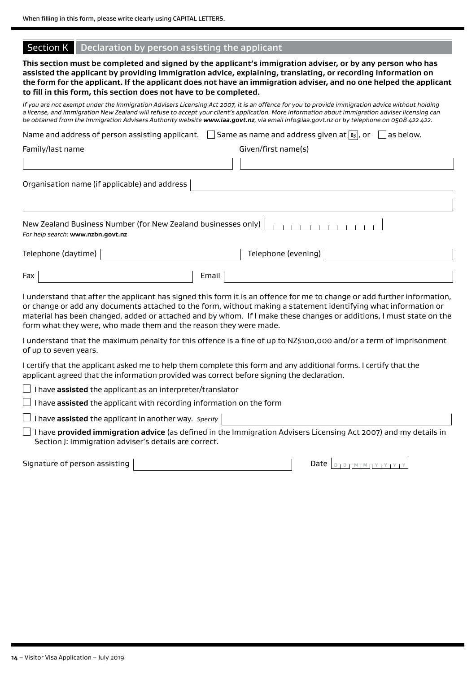|  |  | Section K   Declaration by person assisting the applicant |  |
|--|--|-----------------------------------------------------------|--|
|--|--|-----------------------------------------------------------|--|

**This section must be completed and signed by the applicant's immigration adviser, or by any person who has assisted the applicant by providing immigration advice, explaining, translating, or recording information on the form for the applicant. If the applicant does not have an immigration adviser, and no one helped the applicant to fill in this form, this section does not have to be completed.**

*If you are not exempt under the Immigration Advisers Licensing Act 2007, it is an offence for you to provide immigration advice without holding a license, and Immigration New Zealand will refuse to accept your client's application. More information about immigration adviser licensing can be obtained from the Immigration Advisers Authority website www.iaa.govt.nz, via email info@iaa.govt.nz or by telephone on 0508 422 422.* 

| Same as name and address given at $ B_3 $ , or<br>Name and address of person assisting applicant.<br>as below. |       |                     |  |  |  |
|----------------------------------------------------------------------------------------------------------------|-------|---------------------|--|--|--|
| Family/last name                                                                                               |       | Given/first name(s) |  |  |  |
|                                                                                                                |       |                     |  |  |  |
| Organisation name (if applicable) and address                                                                  |       |                     |  |  |  |
|                                                                                                                |       |                     |  |  |  |
| New Zealand Business Number (for New Zealand businesses only)<br>For help search: www.nzbn.govt.nz             |       |                     |  |  |  |
| Telephone (daytime)                                                                                            |       | Telephone (evening) |  |  |  |
| Fax                                                                                                            | Email |                     |  |  |  |

I understand that after the applicant has signed this form it is an offence for me to change or add further information, or change or add any documents attached to the form, without making a statement identifying what information or material has been changed, added or attached and by whom. If I make these changes or additions, I must state on the form what they were, who made them and the reason they were made.

I understand that the maximum penalty for this offence is a fine of up to NZ\$100,000 and/or a term of imprisonment of up to seven years.

I certify that the applicant asked me to help them complete this form and any additional forms. I certify that the applicant agreed that the information provided was correct before signing the declaration.

 $\Box$  I have **assisted** the applicant as an interpreter/translator

 $\Box$  I have **assisted** the applicant with recording information on the form

I have **assisted** the applicant in another way. *Specify*

 I have **provided immigration advice** (as defined in the Immigration Advisers Licensing Act 2007) and my details in Section J: Immigration adviser's details are correct.

Signature of person assisting Date <sup>D</sup> <sup>D</sup> <sup>M</sup> <sup>M</sup> <sup>Y</sup> <sup>Y</sup> <sup>Y</sup> <sup>Y</sup>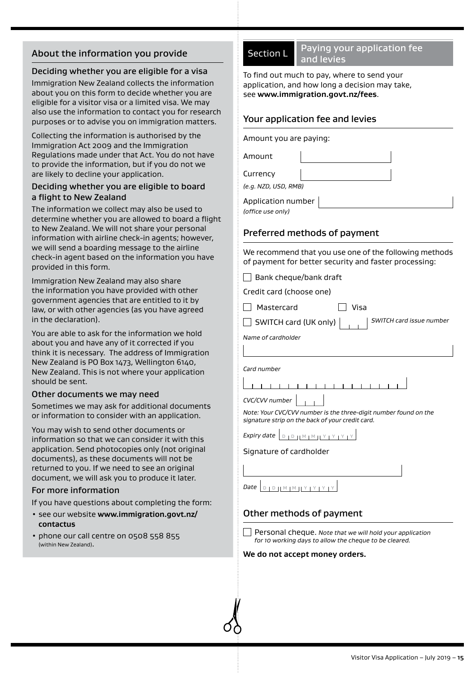# About the information you provide

### Deciding whether you are eligible for a visa

Immigration New Zealand collects the information about you on this form to decide whether you are eligible for a visitor visa or a limited visa. We may also use the information to contact you for research purposes or to advise you on immigration matters.

Collecting the information is authorised by the Immigration Act 2009 and the Immigration Regulations made under that Act. You do not have to provide the information, but if you do not we are likely to decline your application.

#### Deciding whether you are eligible to board a flight to New Zealand

The information we collect may also be used to determine whether you are allowed to board a flight to New Zealand. We will not share your personal information with airline check-in agents; however, we will send a boarding message to the airline check-in agent based on the information you have provided in this form.

Immigration New Zealand may also share the information you have provided with other government agencies that are entitled to it by law, or with other agencies (as you have agreed in the declaration).

You are able to ask for the information we hold about you and have any of it corrected if you think it is necessary. The address of Immigration New Zealand is PO Box 1473, Wellington 6140, New Zealand. This is not where your application should be sent.

#### Other documents we may need

Sometimes we may ask for additional documents or information to consider with an application.

You may wish to send other documents or information so that we can consider it with this application. Send photocopies only (not original documents), as these documents will not be returned to you. If we need to see an original document, we will ask you to produce it later.

#### For more information

If you have questions about completing the form:

- see our website **www.immigration.govt.nz/ contactus**
- phone our call centre on 0508 558 855 (within New Zealand).

Section L Paying your application fee and levies

To find out much to pay, where to send your application, and how long a decision may take, see **www.immigration.govt.nz/fees**.

# Your application fee and levies

Amount you are paying:

Amount

Currency

*(e.g. NZD, USD, RMB)*

Application number

*(office use only)*

# Preferred methods of payment

We recommend that you use one of the following methods of payment for better security and faster processing:

 $\Box$  Bank cheque/bank draft

Credit card (choose one)

Mastercard Visa

SWITCH card (UK only) *SWITCH card issue number*

*Name of cardholder*

*Card number*

1 1 1 1 1 1 1 1 1 1 1 1 1 1 1 1 1

*CVC/CVV number Note: Your CVC/CVV number is the three-digit number found on the signature strip on the back of your credit card.*

*Expiry date*  $\sqrt{p}$   $\sqrt{p}$   $\sqrt{p}$   $\sqrt{p}$   $\sqrt{p}$   $\sqrt{p}$ 

#### Signature of cardholder

*Date* | D | D | M | M || Y | Y | Y | Y

## Other methods of payment

Personal cheque. *Note that we will hold your application for 10 working days to allow the cheque to be cleared.*

#### **We do not accept money orders.**